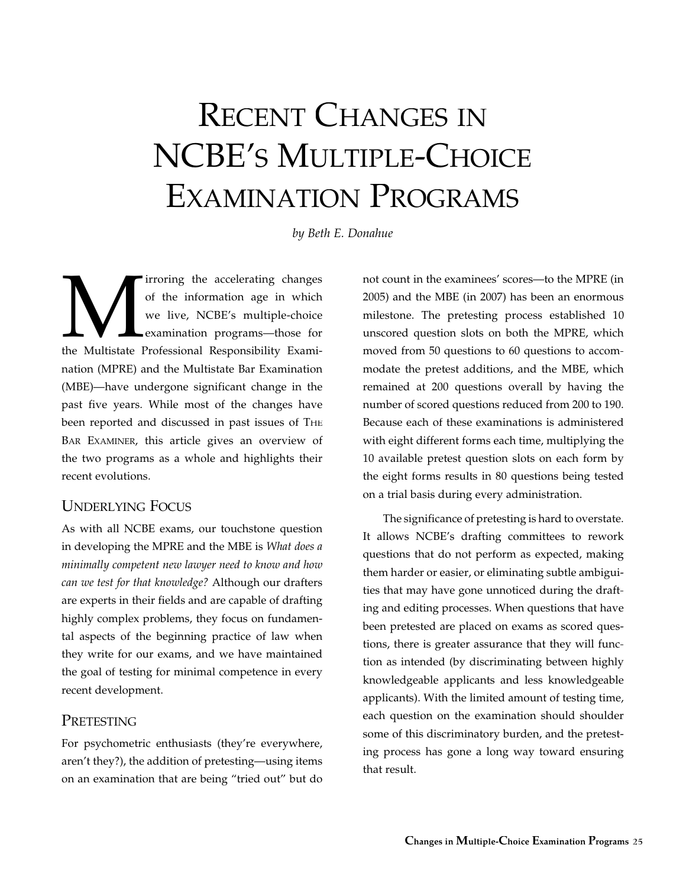# RECENT CHANGES IN NCBE's MULTIPLE-CHOICE EXAMINATION PROGRAMS

*by Beth E. Donahue*

Irroring the accelerating changes of the information age in which we live, NCBE's multiple-choice examination programs—those for the Multistate Professional Responsibility Examiof the information age in which we live, NCBE's multiple-choice examination programs—those for nation (MPRE) and the Multistate Bar Examination (MBE)—have undergone significant change in the past five years. While most of the changes have been reported and discussed in past issues of THE BAR EXAMINER, this article gives an overview of the two programs as a whole and highlights their recent evolutions.

# UndeRlying FocUs

As with all NCBE exams, our touchstone question in developing the MPRE and the MBE is *What does a minimally competent new lawyer need to know and how can we test for that knowledge?* Although our drafters are experts in their fields and are capable of drafting highly complex problems, they focus on fundamental aspects of the beginning practice of law when they write for our exams, and we have maintained the goal of testing for minimal competence in every recent development.

# PRETESTING

For psychometric enthusiasts (they're everywhere, aren't they?), the addition of pretesting—using items on an examination that are being "tried out" but do not count in the examinees' scores—to the MPRE (in 2005) and the MBE (in 2007) has been an enormous milestone. The pretesting process established 10 unscored question slots on both the MPRE, which moved from 50 questions to 60 questions to accommodate the pretest additions, and the MBE, which remained at 200 questions overall by having the number of scored questions reduced from 200 to 190. Because each of these examinations is administered with eight different forms each time, multiplying the 10 available pretest question slots on each form by the eight forms results in 80 questions being tested on a trial basis during every administration.

The significance of pretesting is hard to overstate. It allows NCBE's drafting committees to rework questions that do not perform as expected, making them harder or easier, or eliminating subtle ambiguities that may have gone unnoticed during the drafting and editing processes. When questions that have been pretested are placed on exams as scored questions, there is greater assurance that they will function as intended (by discriminating between highly knowledgeable applicants and less knowledgeable applicants). With the limited amount of testing time, each question on the examination should shoulder some of this discriminatory burden, and the pretesting process has gone a long way toward ensuring that result.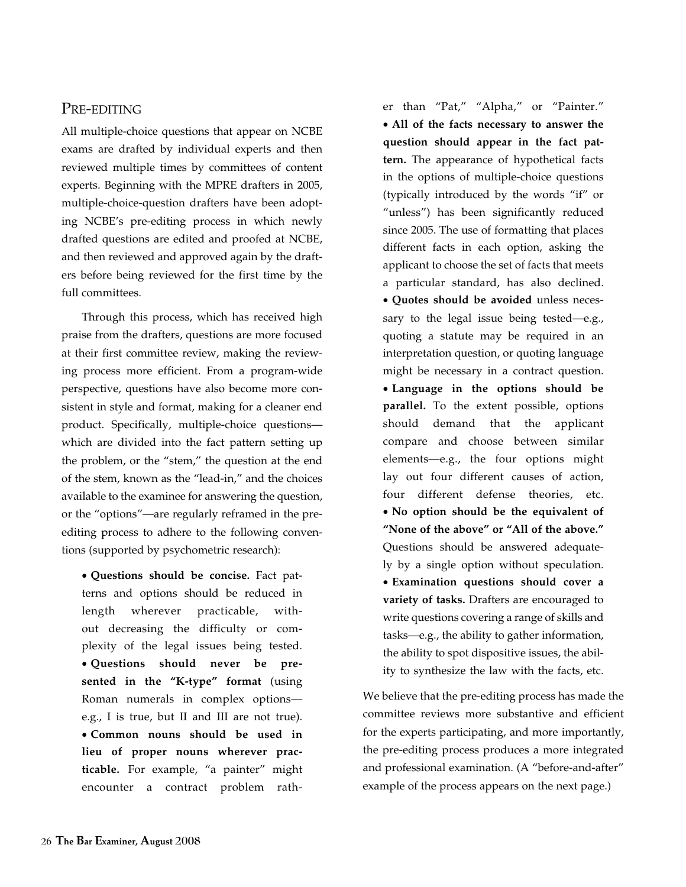## Pre-editing

All multiple-choice questions that appear on NCBE exams are drafted by individual experts and then reviewed multiple times by committees of content experts. Beginning with the MPRE drafters in 2005, multiple-choice-question drafters have been adopting NCBE's pre-editing process in which newly drafted questions are edited and proofed at NCBE, and then reviewed and approved again by the drafters before being reviewed for the first time by the full committees.

Through this process, which has received high praise from the drafters, questions are more focused at their first committee review, making the reviewing process more efficient. From a program-wide perspective, questions have also become more consistent in style and format, making for a cleaner end product. Specifically, multiple-choice questions which are divided into the fact pattern setting up the problem, or the "stem," the question at the end of the stem, known as the "lead-in," and the choices available to the examinee for answering the question, or the "options"—are regularly reframed in the preediting process to adhere to the following conventions (supported by psychometric research):

• **Questions should be concise.** Fact patterns and options should be reduced in length wherever practicable, without decreasing the difficulty or complexity of the legal issues being tested. • **Questions should never be presented in the "K-type" format** (using Roman numerals in complex options e.g., I is true, but II and III are not true). • **Common nouns should be used in lieu of proper nouns wherever practicable.** For example, "a painter" might encounter a contract problem rather than "Pat," "Alpha," or "Painter." • **All of the facts necessary to answer the question should appear in the fact pattern.** The appearance of hypothetical facts in the options of multiple-choice questions (typically introduced by the words "if" or "unless") has been significantly reduced since 2005. The use of formatting that places different facts in each option, asking the applicant to choose the set of facts that meets a particular standard, has also declined. • **Quotes should be avoided** unless necessary to the legal issue being tested—e.g., quoting a statute may be required in an interpretation question, or quoting language might be necessary in a contract question. • **Language in the options should be parallel.** To the extent possible, options should demand that the applicant compare and choose between similar elements—e.g., the four options might lay out four different causes of action, four different defense theories, etc. • **No option should be the equivalent of "None of the above" or "All of the above."** Questions should be answered adequately by a single option without speculation. • **Examination questions should cover a variety of tasks.** Drafters are encouraged to write questions covering a range of skills and tasks—e.g., the ability to gather information, the ability to spot dispositive issues, the ability to synthesize the law with the facts, etc.

We believe that the pre-editing process has made the committee reviews more substantive and efficient for the experts participating, and more importantly, the pre-editing process produces a more integrated and professional examination. (A "before-and-after" example of the process appears on the next page.)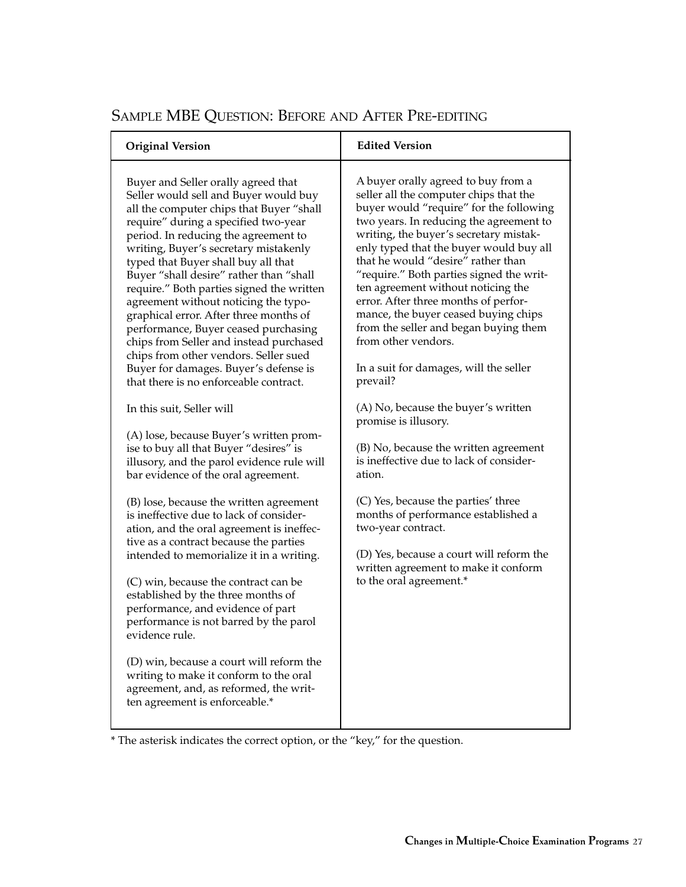| <b>Original Version</b>                                                                                                                                                                                                                                                                                                                                                                                                                                                                                                                                                                                                                                                                                                                                                                                                                                                                                                                                                                                                                                                                                                                                                                                                                                                                                                                                                                                                                                            | <b>Edited Version</b>                                                                                                                                                                                                                                                                                                                                                                                                                                                                                                                                                                                                                                                                                                                                                                                                                                                                                                                                                  |
|--------------------------------------------------------------------------------------------------------------------------------------------------------------------------------------------------------------------------------------------------------------------------------------------------------------------------------------------------------------------------------------------------------------------------------------------------------------------------------------------------------------------------------------------------------------------------------------------------------------------------------------------------------------------------------------------------------------------------------------------------------------------------------------------------------------------------------------------------------------------------------------------------------------------------------------------------------------------------------------------------------------------------------------------------------------------------------------------------------------------------------------------------------------------------------------------------------------------------------------------------------------------------------------------------------------------------------------------------------------------------------------------------------------------------------------------------------------------|------------------------------------------------------------------------------------------------------------------------------------------------------------------------------------------------------------------------------------------------------------------------------------------------------------------------------------------------------------------------------------------------------------------------------------------------------------------------------------------------------------------------------------------------------------------------------------------------------------------------------------------------------------------------------------------------------------------------------------------------------------------------------------------------------------------------------------------------------------------------------------------------------------------------------------------------------------------------|
| Buyer and Seller orally agreed that<br>Seller would sell and Buyer would buy<br>all the computer chips that Buyer "shall<br>require" during a specified two-year<br>period. In reducing the agreement to<br>writing, Buyer's secretary mistakenly<br>typed that Buyer shall buy all that<br>Buyer "shall desire" rather than "shall<br>require." Both parties signed the written<br>agreement without noticing the typo-<br>graphical error. After three months of<br>performance, Buyer ceased purchasing<br>chips from Seller and instead purchased<br>chips from other vendors. Seller sued<br>Buyer for damages. Buyer's defense is<br>that there is no enforceable contract.<br>In this suit, Seller will<br>(A) lose, because Buyer's written prom-<br>ise to buy all that Buyer "desires" is<br>illusory, and the parol evidence rule will<br>bar evidence of the oral agreement.<br>(B) lose, because the written agreement<br>is ineffective due to lack of consider-<br>ation, and the oral agreement is ineffec-<br>tive as a contract because the parties<br>intended to memorialize it in a writing.<br>(C) win, because the contract can be<br>established by the three months of<br>performance, and evidence of part<br>performance is not barred by the parol<br>evidence rule.<br>(D) win, because a court will reform the<br>writing to make it conform to the oral<br>agreement, and, as reformed, the writ-<br>ten agreement is enforceable.* | A buyer orally agreed to buy from a<br>seller all the computer chips that the<br>buyer would "require" for the following<br>two years. In reducing the agreement to<br>writing, the buyer's secretary mistak-<br>enly typed that the buyer would buy all<br>that he would "desire" rather than<br>"require." Both parties signed the writ-<br>ten agreement without noticing the<br>error. After three months of perfor-<br>mance, the buyer ceased buying chips<br>from the seller and began buying them<br>from other vendors.<br>In a suit for damages, will the seller<br>prevail?<br>(A) No, because the buyer's written<br>promise is illusory.<br>(B) No, because the written agreement<br>is ineffective due to lack of consider-<br>ation.<br>(C) Yes, because the parties' three<br>months of performance established a<br>two-year contract.<br>(D) Yes, because a court will reform the<br>written agreement to make it conform<br>to the oral agreement.* |

# Sample MBE Question: Before and After Pre-editing

\* The asterisk indicates the correct option, or the "key," for the question.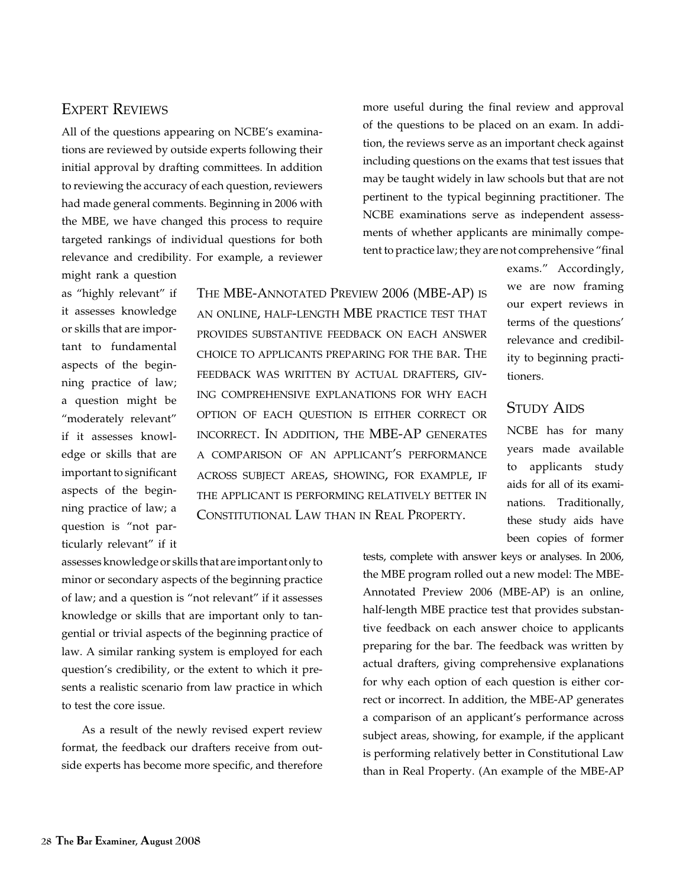# Expert Reviews

All of the questions appearing on NCBE's examinations are reviewed by outside experts following their initial approval by drafting committees. In addition to reviewing the accuracy of each question, reviewers had made general comments. Beginning in 2006 with the MBE, we have changed this process to require targeted rankings of individual questions for both relevance and credibility. For example, a reviewer

might rank a question as "highly relevant" if it assesses knowledge or skills that are important to fundamental aspects of the beginning practice of law; a question might be "moderately relevant" if it assesses knowledge or skills that are important to significant aspects of the beginning practice of law; a question is "not particularly relevant" if it

The MBE-Annotated Preview 2006 (MBE-AP) is an online, half-length MBE practice test that provides substantive feedback on each answer choice to applicants preparing for the bar. The feedback was written by actual drafters, giving comprehensive explanations for why each option of each question is either correct or incorrect. In addition, the MBE-AP generates a comparison of an applicant's performance across subject areas, showing, for example, if the applicant is performing relatively better in Constitutional Law than in Real Property.

more useful during the final review and approval of the questions to be placed on an exam. In addition, the reviews serve as an important check against including questions on the exams that test issues that may be taught widely in law schools but that are not pertinent to the typical beginning practitioner. The NCBE examinations serve as independent assessments of whether applicants are minimally competent to practice law; they are not comprehensive "final

> exams." Accordingly, we are now framing our expert reviews in terms of the questions' relevance and credibility to beginning practitioners.

# STUDY AIDS

NCBE has for many years made available to applicants study aids for all of its examinations. Traditionally, these study aids have been copies of former

assesses knowledge or skills that are important only to minor or secondary aspects of the beginning practice of law; and a question is "not relevant" if it assesses knowledge or skills that are important only to tangential or trivial aspects of the beginning practice of law. A similar ranking system is employed for each question's credibility, or the extent to which it presents a realistic scenario from law practice in which to test the core issue.

As a result of the newly revised expert review format, the feedback our drafters receive from outside experts has become more specific, and therefore tests, complete with answer keys or analyses. In 2006, the MBE program rolled out a new model: The MBE-Annotated Preview 2006 (MBE-AP) is an online, half-length MBE practice test that provides substantive feedback on each answer choice to applicants preparing for the bar. The feedback was written by actual drafters, giving comprehensive explanations for why each option of each question is either correct or incorrect. In addition, the MBE-AP generates a comparison of an applicant's performance across subject areas, showing, for example, if the applicant is performing relatively better in Constitutional Law than in Real Property. (An example of the MBE-AP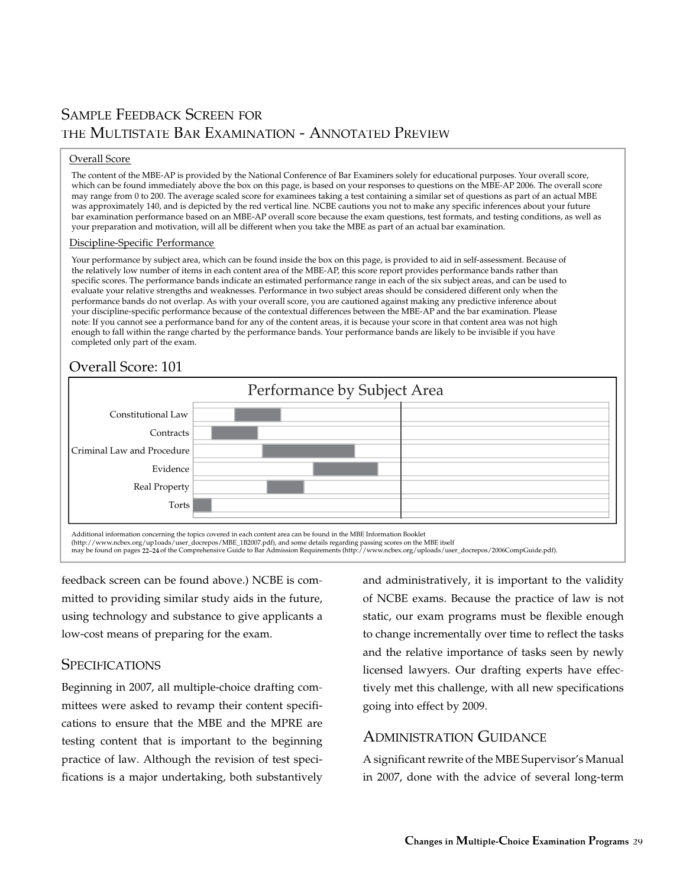# SAMPLE FEEDBACK SCREEN FOR THE MULTISTATE BAR EXAMINATION - ANNOTATED PREVIEW

#### Overall Score

The content of the MBE-AP is provided by the National Conference of Bar Examiners solely for educational purposes. Your overall score, which can be found immediately above the box on this page, is based on your responses to questions on the MBE-AP 2006. The overall score may range from 0 to 200. The average scaled score for examinees taking a test containing a similar set of questions as part of an actual MBE was approximately 140, and is depicted by the red vertical line. NCBE cautions you not to make any specific inferences about your future bar examination performance based on an MBE-AP overall score because the exam questions, test formats, and testing conditions, as well as your preparation and motivation, will all be different when you take the MBE as part of an actual bar examination.

#### Discipline-Specific Performance

Your performance by subject area, which can be found inside the box on this page, is provided to aid in self-assessment. Because of the relatively low number of items in each content area of the MBE-AP, this score report provides performance bands rather than specific scores. The performance bands indicate an estimated performance range in each of the six subject areas, and can be used to evaluate your relative strengths and weaknesses. Performance in two subject areas should be considered different only when the performance bands do not overlap. As with your overall score, you are cautioned against making any predictive inference about your discipline-specific performance because of the contextual differences between the MBE-AP and the bar examination. Please note: If you cannot see a performance band for any of the content areas, it is because your score in that content area was not high enough to fall within the range charted by the performance bands. Your performance bands are likely to be invisible if you have completed only part of the exam.

# Overall Score: 101



(http://www.ncbex.org/up1oads/user\_docrepos/MBE\_1B2007.pdf), and some details regarding passing scores on the MBE itself<br>may be found on pages 22–24 of the Comprehensive Guide to Bar Admission Requirements (http://www.ncbe

feedback screen can be found above.) NCBE is committed to providing similar study aids in the future, using technology and substance to give applicants a low-cost means of preparing for the exam.

## **SPECIFICATIONS**

Beginning in 2007, all multiple-choice drafting committees were asked to revamp their content specifications to ensure that the MBE and the MPRE are testing content that is important to the beginning practice of law. Although the revision of test specifications is a major undertaking, both substantively and administratively, it is important to the validity of NCBE exams. Because the practice of law is not static, our exam programs must be flexible enough to change incrementally over time to reflect the tasks and the relative importance of tasks seen by newly licensed lawyers. Our drafting experts have effectively met this challenge, with all new specifications going into effect by 2009.

# ADMINISTRATION GUIDANCE

A significant rewrite of the MBE Supervisor's Manual in 2007, done with the advice of several long-term